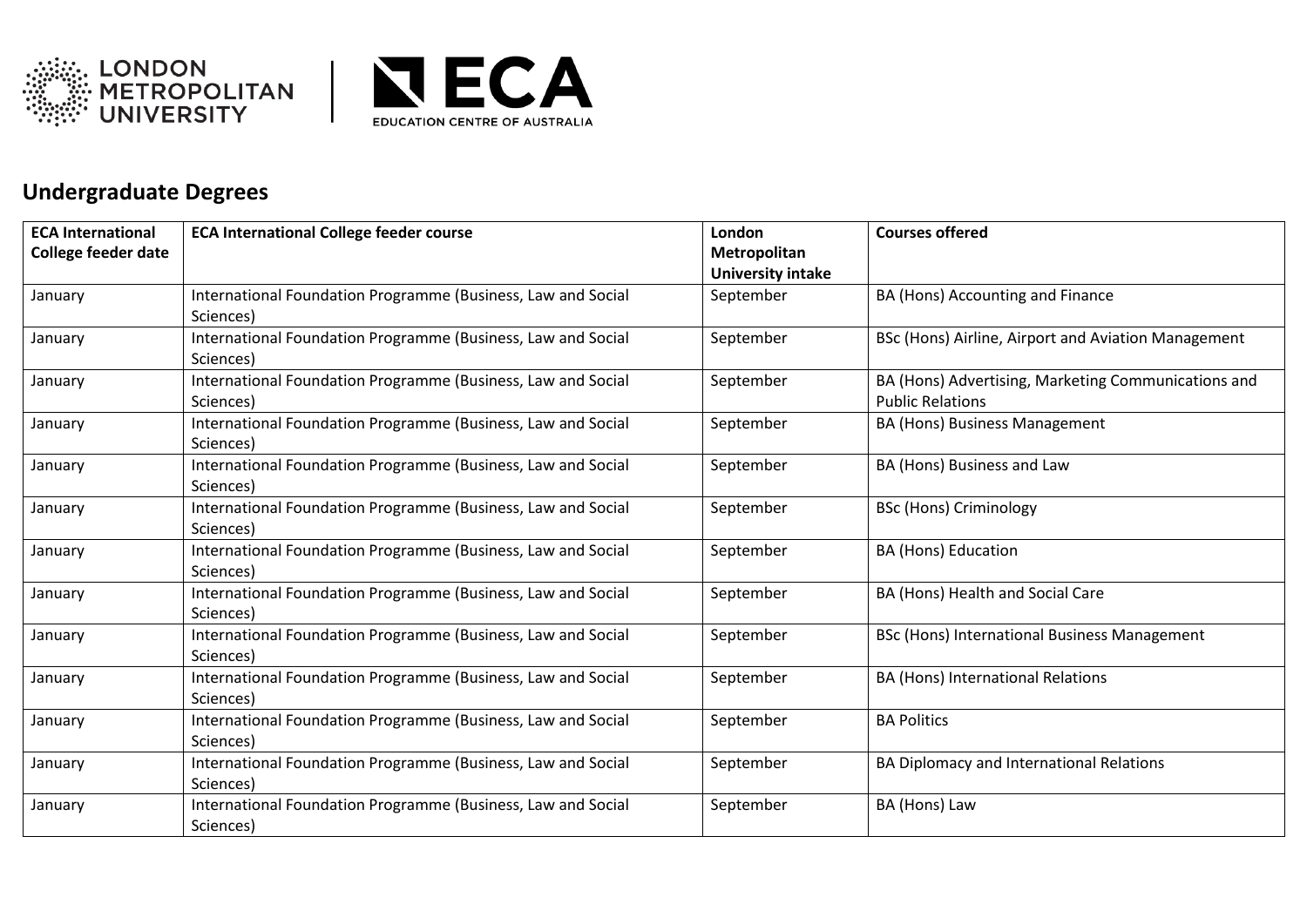



## **Undergraduate Degrees**

| <b>ECA International</b>   | <b>ECA International College feeder course</b>               | London            | <b>Courses offered</b>                              |
|----------------------------|--------------------------------------------------------------|-------------------|-----------------------------------------------------|
| <b>College feeder date</b> |                                                              | Metropolitan      |                                                     |
|                            |                                                              | University intake |                                                     |
| January                    | International Foundation Programme (Business, Law and Social | September         | BA (Hons) Accounting and Finance                    |
|                            | Sciences)                                                    |                   |                                                     |
| January                    | International Foundation Programme (Business, Law and Social | September         | BSc (Hons) Airline, Airport and Aviation Management |
|                            | Sciences)                                                    |                   |                                                     |
| January                    | International Foundation Programme (Business, Law and Social | September         | BA (Hons) Advertising, Marketing Communications and |
|                            | Sciences)                                                    |                   | <b>Public Relations</b>                             |
| January                    | International Foundation Programme (Business, Law and Social | September         | BA (Hons) Business Management                       |
|                            | Sciences)                                                    |                   |                                                     |
| January                    | International Foundation Programme (Business, Law and Social | September         | BA (Hons) Business and Law                          |
|                            | Sciences)                                                    |                   |                                                     |
| January                    | International Foundation Programme (Business, Law and Social | September         | <b>BSc (Hons) Criminology</b>                       |
|                            | Sciences)                                                    |                   |                                                     |
| January                    | International Foundation Programme (Business, Law and Social | September         | <b>BA (Hons) Education</b>                          |
|                            | Sciences)                                                    |                   |                                                     |
| January                    | International Foundation Programme (Business, Law and Social | September         | BA (Hons) Health and Social Care                    |
|                            | Sciences)                                                    |                   |                                                     |
| January                    | International Foundation Programme (Business, Law and Social | September         | BSc (Hons) International Business Management        |
|                            | Sciences)                                                    |                   |                                                     |
| January                    | International Foundation Programme (Business, Law and Social | September         | <b>BA (Hons) International Relations</b>            |
|                            | Sciences)                                                    |                   |                                                     |
| January                    | International Foundation Programme (Business, Law and Social | September         | <b>BA Politics</b>                                  |
|                            | Sciences)                                                    |                   |                                                     |
| January                    | International Foundation Programme (Business, Law and Social | September         | BA Diplomacy and International Relations            |
|                            | Sciences)                                                    |                   |                                                     |
| January                    | International Foundation Programme (Business, Law and Social | September         | BA (Hons) Law                                       |
|                            | Sciences)                                                    |                   |                                                     |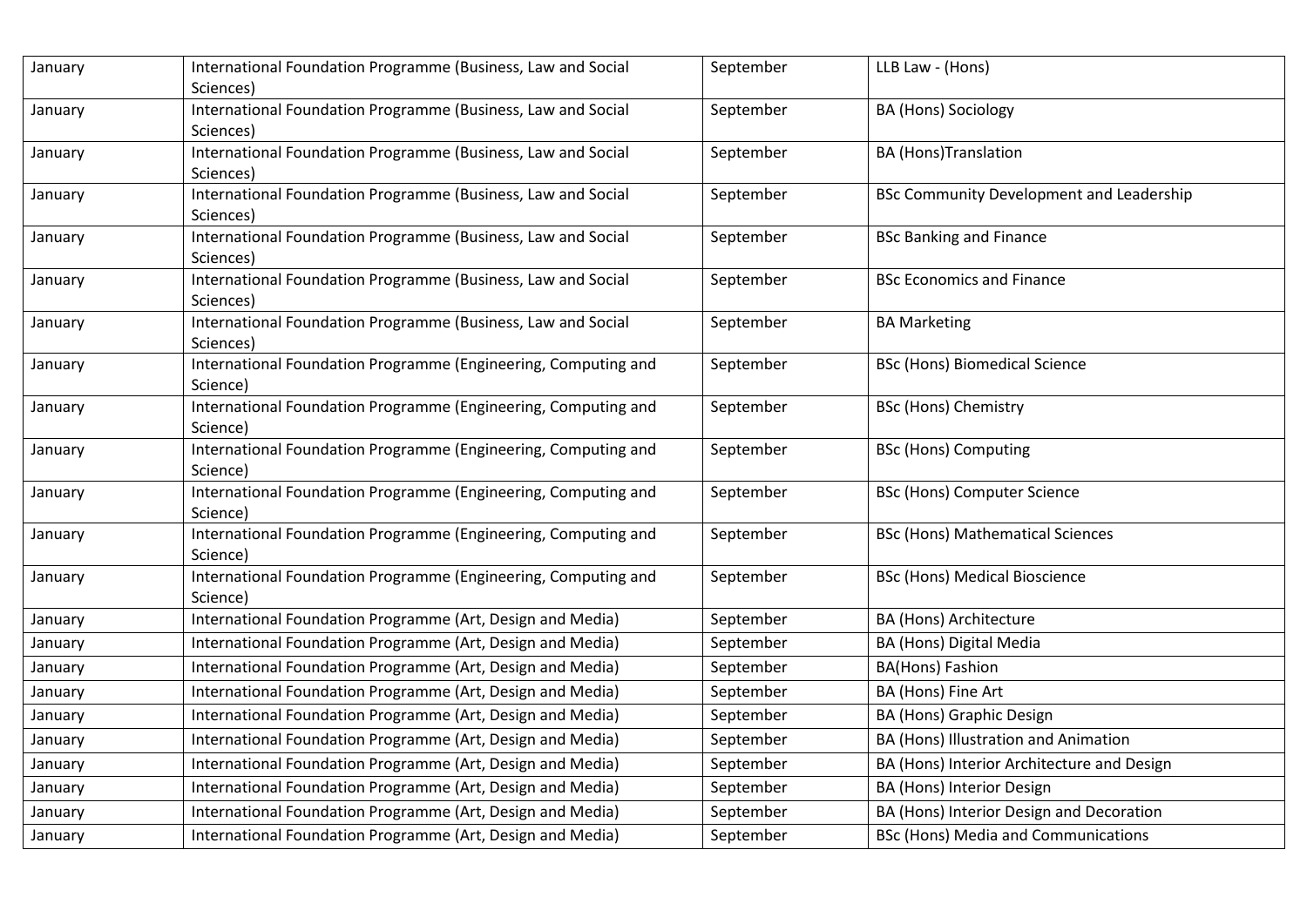| January | International Foundation Programme (Business, Law and Social<br>Sciences)  | September | LLB Law - (Hons)                           |  |
|---------|----------------------------------------------------------------------------|-----------|--------------------------------------------|--|
| January | International Foundation Programme (Business, Law and Social<br>Sciences)  | September | BA (Hons) Sociology                        |  |
| January | International Foundation Programme (Business, Law and Social<br>Sciences)  | September | <b>BA</b> (Hons)Translation                |  |
| January | International Foundation Programme (Business, Law and Social<br>Sciences)  | September | BSc Community Development and Leadership   |  |
| January | International Foundation Programme (Business, Law and Social<br>Sciences)  | September | <b>BSc Banking and Finance</b>             |  |
| January | International Foundation Programme (Business, Law and Social<br>Sciences)  | September | <b>BSc Economics and Finance</b>           |  |
| January | International Foundation Programme (Business, Law and Social<br>Sciences)  | September | <b>BA Marketing</b>                        |  |
| January | International Foundation Programme (Engineering, Computing and<br>Science) | September | <b>BSc (Hons) Biomedical Science</b>       |  |
| January | International Foundation Programme (Engineering, Computing and<br>Science) | September | <b>BSc (Hons) Chemistry</b>                |  |
| January | International Foundation Programme (Engineering, Computing and<br>Science) | September | <b>BSc (Hons) Computing</b>                |  |
| January | International Foundation Programme (Engineering, Computing and<br>Science) | September | <b>BSc (Hons) Computer Science</b>         |  |
| January | International Foundation Programme (Engineering, Computing and<br>Science) | September | <b>BSc (Hons) Mathematical Sciences</b>    |  |
| January | International Foundation Programme (Engineering, Computing and<br>Science) | September | <b>BSc (Hons) Medical Bioscience</b>       |  |
| January | International Foundation Programme (Art, Design and Media)                 | September | BA (Hons) Architecture                     |  |
| January | International Foundation Programme (Art, Design and Media)                 | September | BA (Hons) Digital Media                    |  |
| January | International Foundation Programme (Art, Design and Media)                 | September | BA(Hons) Fashion                           |  |
| January | International Foundation Programme (Art, Design and Media)                 | September | BA (Hons) Fine Art                         |  |
| January | International Foundation Programme (Art, Design and Media)                 | September | BA (Hons) Graphic Design                   |  |
| January | International Foundation Programme (Art, Design and Media)                 | September | BA (Hons) Illustration and Animation       |  |
| January | International Foundation Programme (Art, Design and Media)                 | September | BA (Hons) Interior Architecture and Design |  |
| January | International Foundation Programme (Art, Design and Media)                 | September | BA (Hons) Interior Design                  |  |
| January | International Foundation Programme (Art, Design and Media)                 | September | BA (Hons) Interior Design and Decoration   |  |
| January | International Foundation Programme (Art, Design and Media)                 | September | <b>BSc (Hons) Media and Communications</b> |  |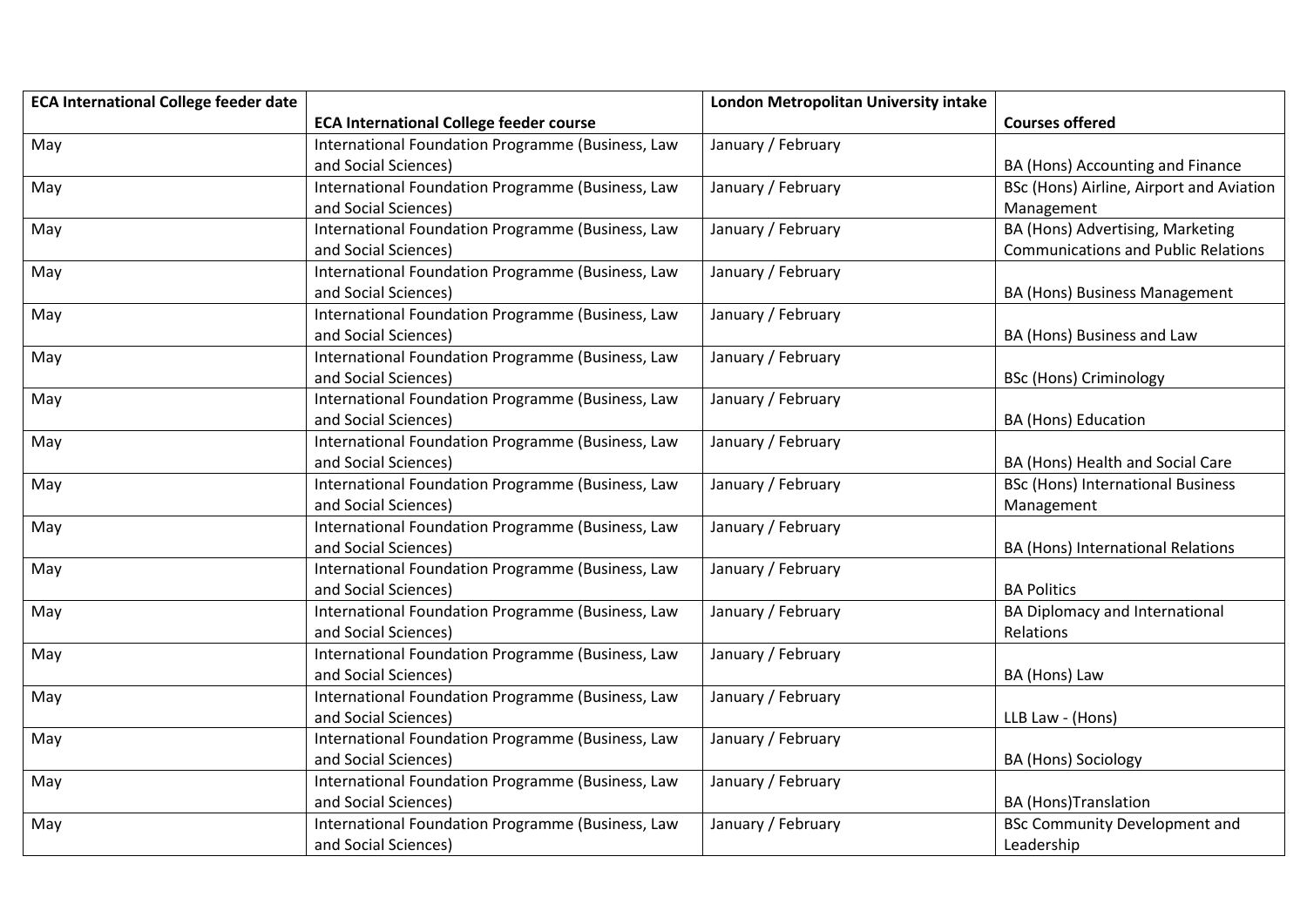| <b>ECA International College feeder date</b> |                                                   | London Metropolitan University intake |                                            |
|----------------------------------------------|---------------------------------------------------|---------------------------------------|--------------------------------------------|
|                                              | <b>ECA International College feeder course</b>    |                                       | <b>Courses offered</b>                     |
| May                                          | International Foundation Programme (Business, Law | January / February                    |                                            |
|                                              | and Social Sciences)                              |                                       | BA (Hons) Accounting and Finance           |
| May                                          | International Foundation Programme (Business, Law | January / February                    | BSc (Hons) Airline, Airport and Aviation   |
|                                              | and Social Sciences)                              |                                       | Management                                 |
| May                                          | International Foundation Programme (Business, Law | January / February                    | BA (Hons) Advertising, Marketing           |
|                                              | and Social Sciences)                              |                                       | <b>Communications and Public Relations</b> |
| May                                          | International Foundation Programme (Business, Law | January / February                    |                                            |
|                                              | and Social Sciences)                              |                                       | BA (Hons) Business Management              |
| May                                          | International Foundation Programme (Business, Law | January / February                    |                                            |
|                                              | and Social Sciences)                              |                                       | BA (Hons) Business and Law                 |
| May                                          | International Foundation Programme (Business, Law | January / February                    |                                            |
|                                              | and Social Sciences)                              |                                       | <b>BSc (Hons) Criminology</b>              |
| May                                          | International Foundation Programme (Business, Law | January / February                    |                                            |
|                                              | and Social Sciences)                              |                                       | BA (Hons) Education                        |
| May                                          | International Foundation Programme (Business, Law | January / February                    |                                            |
|                                              | and Social Sciences)                              |                                       | BA (Hons) Health and Social Care           |
| May                                          | International Foundation Programme (Business, Law | January / February                    | <b>BSc (Hons) International Business</b>   |
|                                              | and Social Sciences)                              |                                       | Management                                 |
| May                                          | International Foundation Programme (Business, Law | January / February                    |                                            |
|                                              | and Social Sciences)                              |                                       | BA (Hons) International Relations          |
| May                                          | International Foundation Programme (Business, Law | January / February                    |                                            |
|                                              | and Social Sciences)                              |                                       | <b>BA Politics</b>                         |
| May                                          | International Foundation Programme (Business, Law | January / February                    | BA Diplomacy and International             |
|                                              | and Social Sciences)                              |                                       | Relations                                  |
| May                                          | International Foundation Programme (Business, Law | January / February                    |                                            |
|                                              | and Social Sciences)                              |                                       | BA (Hons) Law                              |
| May                                          | International Foundation Programme (Business, Law | January / February                    |                                            |
|                                              | and Social Sciences)                              |                                       | LLB Law - (Hons)                           |
| May                                          | International Foundation Programme (Business, Law | January / February                    |                                            |
|                                              | and Social Sciences)                              |                                       | BA (Hons) Sociology                        |
| May                                          | International Foundation Programme (Business, Law | January / February                    |                                            |
|                                              | and Social Sciences)                              |                                       | <b>BA</b> (Hons)Translation                |
| May                                          | International Foundation Programme (Business, Law | January / February                    | <b>BSc Community Development and</b>       |
|                                              | and Social Sciences)                              |                                       | Leadership                                 |